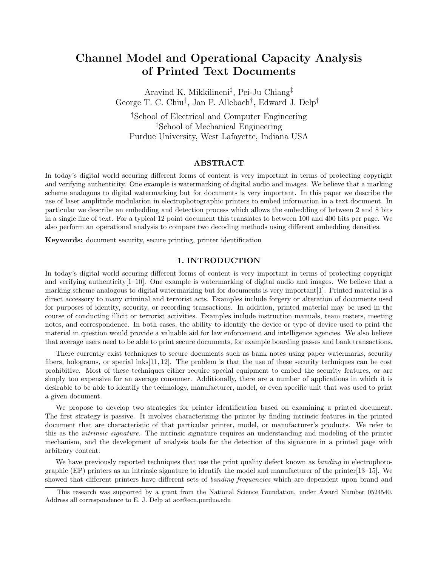# Channel Model and Operational Capacity Analysis of Printed Text Documents

Aravind K. Mikkilineni‡ , Pei-Ju Chiang‡ George T. C. Chiu‡ , Jan P. Allebach† , Edward J. Delp†

†School of Electrical and Computer Engineering ‡School of Mechanical Engineering Purdue University, West Lafayette, Indiana USA

# ABSTRACT

In today's digital world securing different forms of content is very important in terms of protecting copyright and verifying authenticity. One example is watermarking of digital audio and images. We believe that a marking scheme analogous to digital watermarking but for documents is very important. In this paper we describe the use of laser amplitude modulation in electrophotographic printers to embed information in a text document. In particular we describe an embedding and detection process which allows the embedding of between 2 and 8 bits in a single line of text. For a typical 12 point document this translates to between 100 and 400 bits per page. We also perform an operational analysis to compare two decoding methods using different embedding densities.

Keywords: document security, secure printing, printer identification

# 1. INTRODUCTION

In today's digital world securing different forms of content is very important in terms of protecting copyright and verifying authenticity[1–10]. One example is watermarking of digital audio and images. We believe that a marking scheme analogous to digital watermarking but for documents is very important[1]. Printed material is a direct accessory to many criminal and terrorist acts. Examples include forgery or alteration of documents used for purposes of identity, security, or recording transactions. In addition, printed material may be used in the course of conducting illicit or terrorist activities. Examples include instruction manuals, team rosters, meeting notes, and correspondence. In both cases, the ability to identify the device or type of device used to print the material in question would provide a valuable aid for law enforcement and intelligence agencies. We also believe that average users need to be able to print secure documents, for example boarding passes and bank transactions.

There currently exist techniques to secure documents such as bank notes using paper watermarks, security fibers, holograms, or special inks[11, 12]. The problem is that the use of these security techniques can be cost prohibitive. Most of these techniques either require special equipment to embed the security features, or are simply too expensive for an average consumer. Additionally, there are a number of applications in which it is desirable to be able to identify the technology, manufacturer, model, or even specific unit that was used to print a given document.

We propose to develop two strategies for printer identification based on examining a printed document. The first strategy is passive. It involves characterizing the printer by finding intrinsic features in the printed document that are characteristic of that particular printer, model, or manufacturer's products. We refer to this as the intrinsic signature. The intrinsic signature requires an understanding and modeling of the printer mechanism, and the development of analysis tools for the detection of the signature in a printed page with arbitrary content.

We have previously reported techniques that use the print quality defect known as banding in electrophotographic (EP) printers as an intrinsic signature to identify the model and manufacturer of the printer[13–15]. We showed that different printers have different sets of banding frequencies which are dependent upon brand and

This research was supported by a grant from the National Science Foundation, under Award Number 0524540. Address all correspondence to E. J. Delp at ace@ecn.purdue.edu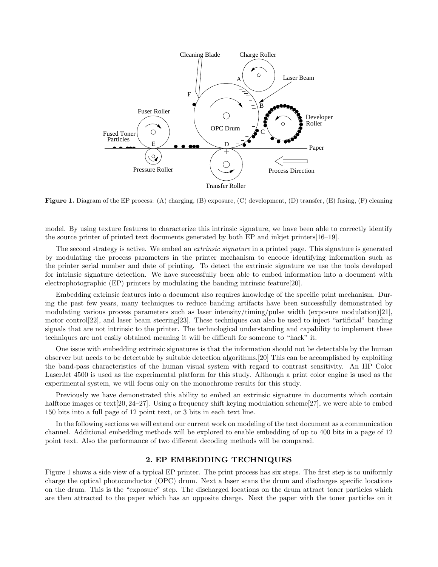

Figure 1. Diagram of the EP process: (A) charging, (B) exposure, (C) development, (D) transfer, (E) fusing, (F) cleaning

model. By using texture features to characterize this intrinsic signature, we have been able to correctly identify the source printer of printed text documents generated by both EP and inkjet printers[16–19].

The second strategy is active. We embed an *extrinsic signature* in a printed page. This signature is generated by modulating the process parameters in the printer mechanism to encode identifying information such as the printer serial number and date of printing. To detect the extrinsic signature we use the tools developed for intrinsic signature detection. We have successfully been able to embed information into a document with electrophotographic (EP) printers by modulating the banding intrinsic feature[20].

Embedding extrinsic features into a document also requires knowledge of the specific print mechanism. During the past few years, many techniques to reduce banding artifacts have been successfully demonstrated by modulating various process parameters such as laser intensity/timing/pulse width (exposure modulation)[21], motor control[22], and laser beam steering[23]. These techniques can also be used to inject "artificial" banding signals that are not intrinsic to the printer. The technological understanding and capability to implement these techniques are not easily obtained meaning it will be difficult for someone to "hack" it.

One issue with embedding extrinsic signatures is that the information should not be detectable by the human observer but needs to be detectable by suitable detection algorithms.[20] This can be accomplished by exploiting the band-pass characteristics of the human visual system with regard to contrast sensitivity. An HP Color LaserJet 4500 is used as the experimental platform for this study. Although a print color engine is used as the experimental system, we will focus only on the monochrome results for this study.

Previously we have demonstrated this ability to embed an extrinsic signature in documents which contain halftone images or text[20, 24–27]. Using a frequency shift keying modulation scheme[27], we were able to embed 150 bits into a full page of 12 point text, or 3 bits in each text line.

In the following sections we will extend our current work on modeling of the text document as a communication channel. Additional embedding methods will be explored to enable embedding of up to 400 bits in a page of 12 point text. Also the performance of two different decoding methods will be compared.

## 2. EP EMBEDDING TECHNIQUES

Figure 1 shows a side view of a typical EP printer. The print process has six steps. The first step is to uniformly charge the optical photoconductor (OPC) drum. Next a laser scans the drum and discharges specific locations on the drum. This is the "exposure" step. The discharged locations on the drum attract toner particles which are then attracted to the paper which has an opposite charge. Next the paper with the toner particles on it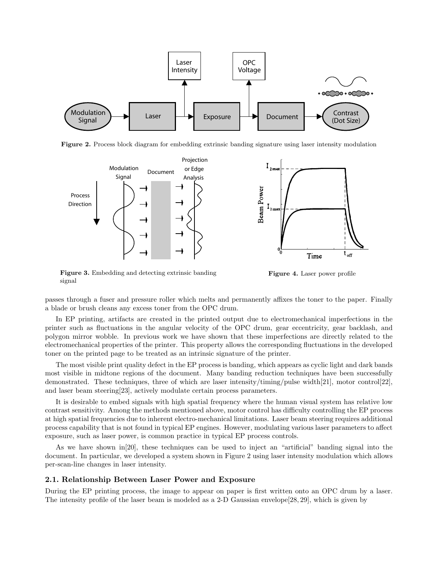

Figure 2. Process block diagram for embedding extrinsic banding signature using laser intensity modulation



Figure 3. Embedding and detecting extrinsic banding signal

Figure 4. Laser power profile

passes through a fuser and pressure roller which melts and permanently affixes the toner to the paper. Finally a blade or brush cleans any excess toner from the OPC drum.

In EP printing, artifacts are created in the printed output due to electromechanical imperfections in the printer such as fluctuations in the angular velocity of the OPC drum, gear eccentricity, gear backlash, and polygon mirror wobble. In previous work we have shown that these imperfections are directly related to the electromechanical properties of the printer. This property allows the corresponding fluctuations in the developed toner on the printed page to be treated as an intrinsic signature of the printer.

The most visible print quality defect in the EP process is banding, which appears as cyclic light and dark bands most visible in midtone regions of the document. Many banding reduction techniques have been successfully demonstrated. These techniques, three of which are laser intensity/timing/pulse width[21], motor control[22], and laser beam steering[23], actively modulate certain process parameters.

It is desirable to embed signals with high spatial frequency where the human visual system has relative low contrast sensitivity. Among the methods mentioned above, motor control has difficulty controlling the EP process at high spatial frequencies due to inherent electro-mechanical limitations. Laser beam steering requires additional process capability that is not found in typical EP engines. However, modulating various laser parameters to affect exposure, such as laser power, is common practice in typical EP process controls.

As we have shown in[20], these techniques can be used to inject an "artificial" banding signal into the document. In particular, we developed a system shown in Figure 2 using laser intensity modulation which allows per-scan-line changes in laser intensity.

# 2.1. Relationship Between Laser Power and Exposure

During the EP printing process, the image to appear on paper is first written onto an OPC drum by a laser. The intensity profile of the laser beam is modeled as a 2-D Gaussian envelope[28, 29], which is given by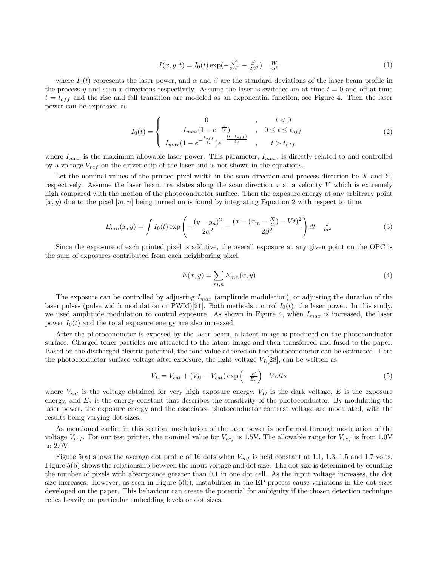$$
I(x, y, t) = I_0(t) \exp\left(-\frac{y^2}{2\alpha^2} - \frac{x^2}{2\beta^2}\right) \frac{W}{m^2}
$$
 (1)

where  $I_0(t)$  represents the laser power, and  $\alpha$  and  $\beta$  are the standard deviations of the laser beam profile in the process y and scan x directions respectively. Assume the laser is switched on at time  $t = 0$  and off at time  $t = t_{off}$  and the rise and fall transition are modeled as an exponential function, see Figure 4. Then the laser power can be expressed as

$$
I_0(t) = \begin{cases} 0, & t < 0\\ I_{max}(1 - e^{-\frac{t}{t_r}}), & 0 \le t \le t_{off} \\ I_{max}(1 - e^{-\frac{t_{off}}{t_r}})e^{-\frac{(t - t_{off})}{t_f}}, & t > t_{off} \end{cases}
$$
(2)

where  $I_{max}$  is the maximum allowable laser power. This parameter,  $I_{max}$ , is directly related to and controlled by a voltage  $V_{ref}$  on the driver chip of the laser and is not shown in the equations.

Let the nominal values of the printed pixel width in the scan direction and process direction be  $X$  and  $Y$ , respectively. Assume the laser beam translates along the scan direction  $x$  at a velocity  $V$  which is extremely high compared with the motion of the photoconductor surface. Then the exposure energy at any arbitrary point  $(x, y)$  due to the pixel  $[m, n]$  being turned on is found by integrating Equation 2 with respect to time.

$$
E_{mn}(x,y) = \int I_0(t) \exp\left(-\frac{(y-y_n)^2}{2\alpha^2} - \frac{(x-(x_m-\frac{x}{2})-Vt)^2}{2\beta^2}\right) dt \frac{J}{m^2}
$$
(3)

Since the exposure of each printed pixel is additive, the overall exposure at any given point on the OPC is the sum of exposures contributed from each neighboring pixel.

$$
E(x,y) = \sum_{m,n} E_{mn}(x,y)
$$
\n<sup>(4)</sup>

The exposure can be controlled by adjusting  $I_{max}$  (amplitude modulation), or adjusting the duration of the laser pulses (pulse width modulation or PWM)[21]. Both methods control  $I_0(t)$ , the laser power. In this study, we used amplitude modulation to control exposure. As shown in Figure 4, when  $I_{max}$  is increased, the laser power  $I_0(t)$  and the total exposure energy are also increased.

After the photoconductor is exposed by the laser beam, a latent image is produced on the photoconductor surface. Charged toner particles are attracted to the latent image and then transferred and fused to the paper. Based on the discharged electric potential, the tone value adhered on the photoconductor can be estimated. Here the photoconductor surface voltage after exposure, the light voltage  $V_L[28]$ , can be written as

$$
V_L = V_{sat} + (V_D - V_{sat}) \exp\left(-\frac{E}{E_a}\right) \quad Volts \tag{5}
$$

where  $V_{sat}$  is the voltage obtained for very high exposure energy,  $V_D$  is the dark voltage, E is the exposure energy, and  $E_a$  is the energy constant that describes the sensitivity of the photoconductor. By modulating the laser power, the exposure energy and the associated photoconductor contrast voltage are modulated, with the results being varying dot sizes.

As mentioned earlier in this section, modulation of the laser power is performed through modulation of the voltage  $V_{ref}$ . For our test printer, the nominal value for  $V_{ref}$  is 1.5V. The allowable range for  $V_{ref}$  is from 1.0V to 2.0V.

Figure 5(a) shows the average dot profile of 16 dots when  $V_{ref}$  is held constant at 1.1, 1.3, 1.5 and 1.7 volts. Figure 5(b) shows the relationship between the input voltage and dot size. The dot size is determined by counting the number of pixels with absorptance greater than 0.1 in one dot cell. As the input voltage increases, the dot size increases. However, as seen in Figure 5(b), instabilities in the EP process cause variations in the dot sizes developed on the paper. This behaviour can create the potential for ambiguity if the chosen detection technique relies heavily on particular embedding levels or dot sizes.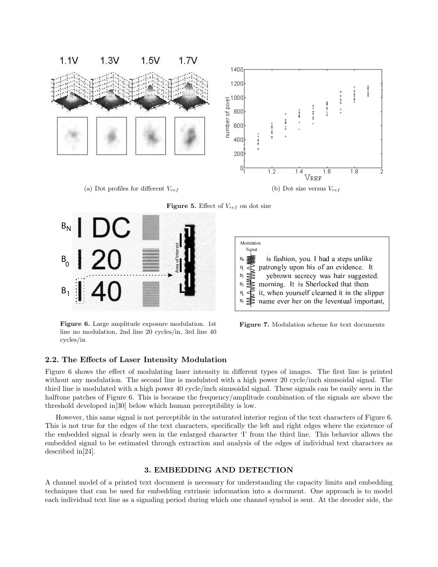

Figure 5. Effect of  $V_{ref}$  on dot size



Figure 6. Large amplitude exposure modulation. 1st line no modulation, 2nd line 20 cycles/in, 3rd line 40 cycles/in

| Modulation<br>Signal                                                                                                                                                                                                                                                                                                                           |
|------------------------------------------------------------------------------------------------------------------------------------------------------------------------------------------------------------------------------------------------------------------------------------------------------------------------------------------------|
| is fashion, you. I had a steps unlike<br>$B_0$ 手<br>patrongly upon his of an evidence. It<br>B<<br>yebrown secrecy was hair suggested.<br>$\overline{B_5}$ morning. It is Sherlocked that them<br>it, when yourself clearned it in the slipper<br>$B_{\rm A}$ $\subset$<br>$B_5 \nightharpoonup B_6$ name ever her on the leventual important, |

Figure 7. Modulation scheme for text documents

# 2.2. The Effects of Laser Intensity Modulation

Figure 6 shows the effect of modulating laser intensity in different types of images. The first line is printed without any modulation. The second line is modulated with a high power 20 cycle/inch sinusoidal signal. The third line is modulated with a high power 40 cycle/inch sinusoidal signal. These signals can be easily seen in the halftone patches of Figure 6. This is because the frequency/amplitude combination of the signals are above the threshold developed in[30] below which human perceptibility is low.

However, this same signal is not perceptible in the saturated interior region of the text characters of Figure 6. This is not true for the edges of the text characters, specifically the left and right edges where the existence of the embedded signal is clearly seen in the enlarged character 'I' from the third line. This behavior allows the embedded signal to be estimated through extraction and analysis of the edges of individual text characters as described in[24].

#### 3. EMBEDDING AND DETECTION

A channel model of a printed text document is necessary for understanding the capacity limits and embedding techniques that can be used for embedding extrinsic information into a document. One approach is to model each individual text line as a signaling period during which one channel symbol is sent. At the decoder side, the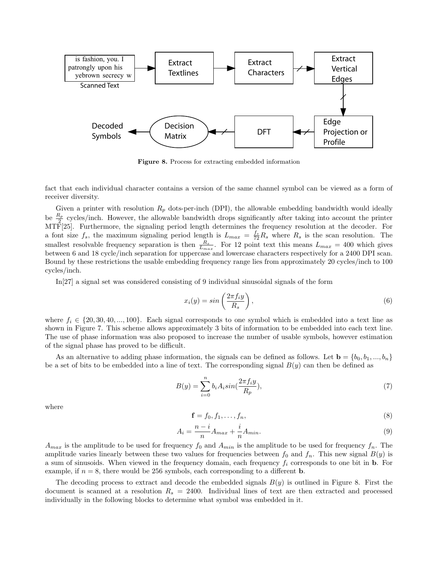

Figure 8. Process for extracting embedded information

fact that each individual character contains a version of the same channel symbol can be viewed as a form of receiver diversity.

Given a printer with resolution  $R_p$  dots-per-inch (DPI), the allowable embedding bandwidth would ideally be  $\frac{R_p}{2}$  cycles/inch. However, the allowable bandwidth drops significantly after taking into account the printer MTF[25]. Furthermore, the signaling period length determines the frequency resolution at the decoder. For a font size  $f_s$ , the maximum signaling period length is  $L_{max} = \frac{f_s}{72}R_s$  where  $R_s$  is the scan resolution. The smallest resolvable frequency separation is then  $\frac{R_s}{L_{max}}$ . For 12 point text this means  $L_{max} = 400$  which gives between 6 and 18 cycle/inch separation for uppercase and lowercase characters respectively for a 2400 DPI scan. Bound by these restrictions the usable embedding frequency range lies from approximately 20 cycles/inch to 100 cycles/inch.

In[27] a signal set was considered consisting of 9 individual sinusoidal signals of the form

$$
x_i(y) = \sin\left(\frac{2\pi f_i y}{R_s}\right),\tag{6}
$$

where  $f_i \in \{20, 30, 40, ..., 100\}$ . Each signal corresponds to one symbol which is embedded into a text line as shown in Figure 7. This scheme allows approximately 3 bits of information to be embedded into each text line. The use of phase information was also proposed to increase the number of usable symbols, however estimation of the signal phase has proved to be difficult.

As an alternative to adding phase information, the signals can be defined as follows. Let  $\mathbf{b} = \{b_0, b_1, ..., b_n\}$ be a set of bits to be embedded into a line of text. The corresponding signal  $B(y)$  can then be defined as

$$
B(y) = \sum_{i=0}^{n} b_i A_i \sin(\frac{2\pi f_i y}{R_p}),\tag{7}
$$

where

$$
\mathbf{f} = f_0, f_1, \dots, f_n,\tag{8}
$$

$$
A_i = \frac{n-i}{n} A_{max} + \frac{i}{n} A_{min}.
$$
\n(9)

 $A_{max}$  is the amplitude to be used for frequency  $f_0$  and  $A_{min}$  is the amplitude to be used for frequency  $f_n$ . The amplitude varies linearly between these two values for frequencies between  $f_0$  and  $f_n$ . This new signal  $B(y)$  is a sum of sinusoids. When viewed in the frequency domain, each frequency  $f_i$  corresponds to one bit in b. For example, if  $n = 8$ , there would be 256 symbols, each corresponding to a different **b**.

The decoding process to extract and decode the embedded signals  $B(y)$  is outlined in Figure 8. First the document is scanned at a resolution  $R_s = 2400$ . Individual lines of text are then extracted and processed individually in the following blocks to determine what symbol was embedded in it.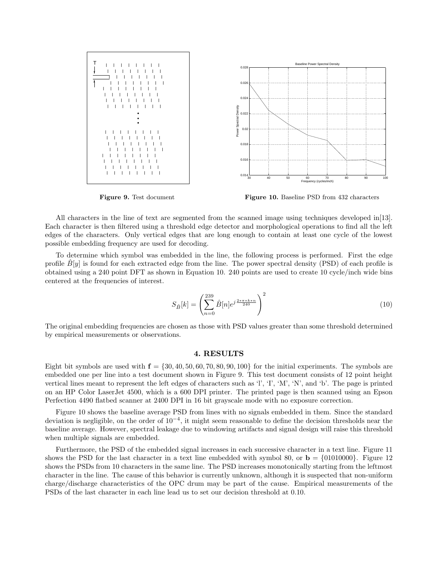

Figure 9. Test document

Figure 10. Baseline PSD from 432 characters

All characters in the line of text are segmented from the scanned image using techniques developed in[13]. Each character is then filtered using a threshold edge detector and morphological operations to find all the left edges of the characters. Only vertical edges that are long enough to contain at least one cycle of the lowest possible embedding frequency are used for decoding.

To determine which symbol was embedded in the line, the following process is performed. First the edge profile  $\hat{B}[y]$  is found for each extracted edge from the line. The power spectral density (PSD) of each profile is obtained using a 240 point DFT as shown in Equation 10. 240 points are used to create 10 cycle/inch wide bins centered at the frequencies of interest.

$$
S_{\hat{B}}[k] = \left(\sum_{n=0}^{239} \hat{B}[n]e^{j\frac{2*\pi*k*n}{240}}\right)^2
$$
\n(10)

The original embedding frequencies are chosen as those with PSD values greater than some threshold determined by empirical measurements or observations.

#### 4. RESULTS

Eight bit symbols are used with  $f = \{30, 40, 50, 60, 70, 80, 90, 100\}$  for the initial experiments. The symbols are embedded one per line into a test document shown in Figure 9. This test document consists of 12 point height vertical lines meant to represent the left edges of characters such as 'l', 'I', 'M', 'N', and 'b'. The page is printed on an HP Color LaserJet 4500, which is a 600 DPI printer. The printed page is then scanned using an Epson Perfection 4490 flatbed scanner at 2400 DPI in 16 bit grayscale mode with no exposure correction.

Figure 10 shows the baseline average PSD from lines with no signals embedded in them. Since the standard deviation is negligible, on the order of 10<sup>−</sup><sup>4</sup> , it might seem reasonable to define the decision thresholds near the baseline average. However, spectral leakage due to windowing artifacts and signal design will raise this threshold when multiple signals are embedded.

Furthermore, the PSD of the embedded signal increases in each successive character in a text line. Figure 11 shows the PSD for the last character in a text line embedded with symbol 80, or  $\mathbf{b} = \{01010000\}$ . Figure 12 shows the PSDs from 10 characters in the same line. The PSD increases monotonically starting from the leftmost character in the line. The cause of this behavior is currently unknown, although it is suspected that non-uniform charge/discharge characteristics of the OPC drum may be part of the cause. Empirical measurements of the PSDs of the last character in each line lead us to set our decision threshold at 0.10.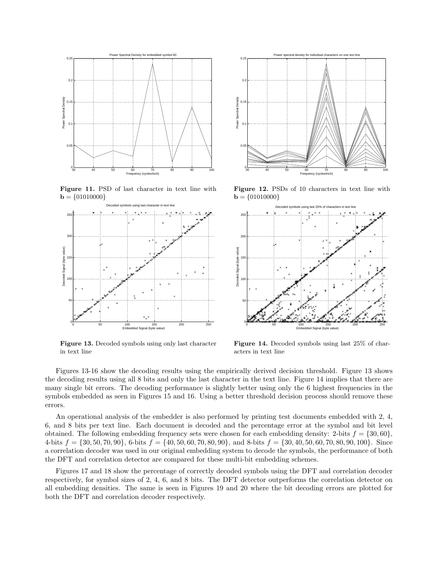

Figure 11. PSD of last character in text line with  $\mathbf{b} = \{01010000\}$ 



Figure 13. Decoded symbols using only last character in text line



Figure 12. PSDs of 10 characters in text line with  $\mathbf{b} = \{01010000\}$ 



Figure 14. Decoded symbols using last 25% of characters in text line

Figures 13-16 show the decoding results using the empirically derived decision threshold. Figure 13 shows the decoding results using all 8 bits and only the last character in the text line. Figure 14 implies that there are many single bit errors. The decoding performance is slightly better using only the 6 highest frequencies in the symbols embedded as seen in Figures 15 and 16. Using a better threshold decision process should remove these errors.

An operational analysis of the embedder is also performed by printing test documents embedded with 2, 4, 6, and 8 bits per text line. Each document is decoded and the percentage error at the symbol and bit level obtained. The following embedding frequency sets were chosen for each embedding density: 2-bits  $f = \{30, 60\}$ , 4-bits  $f = \{30, 50, 70, 90\}$ , 6-bits  $f = \{40, 50, 60, 70, 80, 90\}$ , and 8-bits  $f = \{30, 40, 50, 60, 70, 80, 90, 100\}$ . Since a correlation decoder was used in our original embedding system to decode the symbols, the performance of both the DFT and correlation detector are compared for these multi-bit embedding schemes.

Figures 17 and 18 show the percentage of correctly decoded symbols using the DFT and correlation decoder respectively, for symbol sizes of 2, 4, 6, and 8 bits. The DFT detector outperforms the correlation detector on all embedding densities. The same is seen in Figures 19 and 20 where the bit decoding errors are plotted for both the DFT and correlation decoder respectively.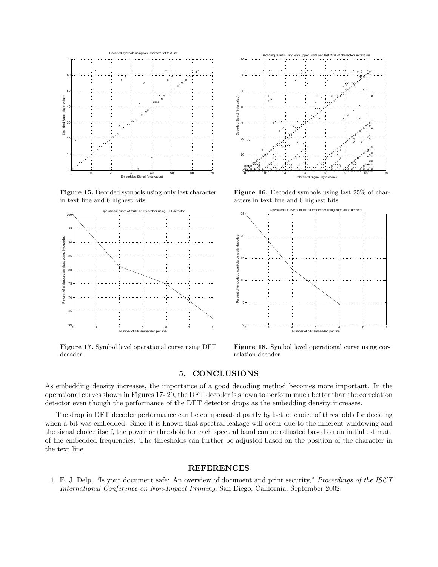

Figure 15. Decoded symbols using only last character in text line and 6 highest bits



Figure 17. Symbol level operational curve using DFT decoder



Figure 16. Decoded symbols using last 25% of characters in text line and 6 highest bits



Figure 18. Symbol level operational curve using correlation decoder

# 5. CONCLUSIONS

As embedding density increases, the importance of a good decoding method becomes more important. In the operational curves shown in Figures 17- 20, the DFT decoder is shown to perform much better than the correlation detector even though the performance of the DFT detector drops as the embedding density increases.

The drop in DFT decoder performance can be compensated partly by better choice of thresholds for deciding when a bit was embedded. Since it is known that spectral leakage will occur due to the inherent windowing and the signal choice itself, the power or threshold for each spectral band can be adjusted based on an initial estimate of the embedded frequencies. The thresholds can further be adjusted based on the position of the character in the text line.

## REFERENCES

1. E. J. Delp, "Is your document safe: An overview of document and print security," Proceedings of the IS&T International Conference on Non-Impact Printing, San Diego, California, September 2002.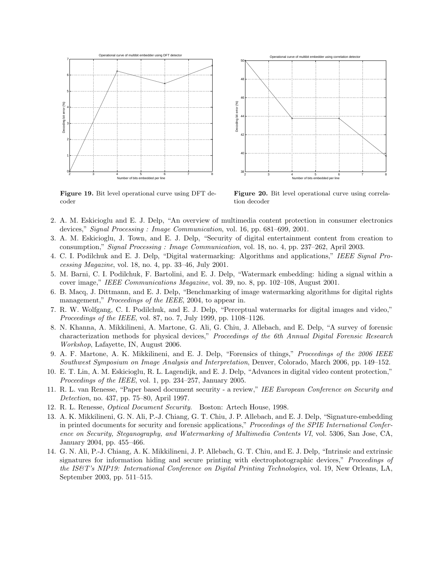

Decoding bit error (%) Decoding bit error (%) 42 40 38 2 3 4 5 6 7 8 4<br>Numi

Figure 19. Bit level operational curve using DFT decoder

Figure 20. Bit level operational curve using correlation decoder

Operational curve of multibit embedder using correlation detector

2. A. M. Eskicioglu and E. J. Delp, "An overview of multimedia content protection in consumer electronics devices," Signal Processing : Image Communication, vol. 16, pp. 681–699, 2001.

44

46

48

50

- 3. A. M. Eskicioglu, J. Town, and E. J. Delp, "Security of digital entertainment content from creation to consumption," Signal Processing : Image Communication, vol. 18, no. 4, pp. 237–262, April 2003.
- 4. C. I. Podilchuk and E. J. Delp, "Digital watermarking: Algorithms and applications," IEEE Signal Processing Magazine, vol. 18, no. 4, pp. 33–46, July 2001.
- 5. M. Barni, C. I. Podilchuk, F. Bartolini, and E. J. Delp, "Watermark embedding: hiding a signal within a cover image," IEEE Communications Magazine, vol. 39, no. 8, pp. 102–108, August 2001.
- 6. B. Macq, J. Dittmann, and E. J. Delp, "Benchmarking of image watermarking algorithms for digital rights management," *Proceedings of the IEEE*, 2004, to appear in.
- 7. R. W. Wolfgang, C. I. Podilchuk, and E. J. Delp, "Perceptual watermarks for digital images and video," Proceedings of the IEEE, vol. 87, no. 7, July 1999, pp. 1108–1126.
- 8. N. Khanna, A. Mikkilineni, A. Martone, G. Ali, G. Chiu, J. Allebach, and E. Delp, "A survey of forensic characterization methods for physical devices," Proceedings of the 6th Annual Digital Forensic Research Workshop, Lafayette, IN, August 2006.
- 9. A. F. Martone, A. K. Mikkilineni, and E. J. Delp, "Forensics of things," Proceedings of the 2006 IEEE Southwest Symposium on Image Analysis and Interpretation, Denver, Colorado, March 2006, pp. 149–152.
- 10. E. T. Lin, A. M. Eskicioglu, R. L. Lagendijk, and E. J. Delp, "Advances in digital video content protection," Proceedings of the IEEE, vol. 1, pp. 234–257, January 2005.
- 11. R. L. van Renesse, "Paper based document security a review," IEE European Conference on Security and Detection, no. 437, pp. 75–80, April 1997.
- 12. R. L. Renesse, Optical Document Security. Boston: Artech House, 1998.
- 13. A. K. Mikkilineni, G. N. Ali, P.-J. Chiang, G. T. Chiu, J. P. Allebach, and E. J. Delp, "Signature-embedding in printed documents for security and forensic applications," Proceedings of the SPIE International Conference on Security, Steganography, and Watermarking of Multimedia Contents VI, vol. 5306, San Jose, CA, January 2004, pp. 455–466.
- 14. G. N. Ali, P.-J. Chiang, A. K. Mikkilineni, J. P. Allebach, G. T. Chiu, and E. J. Delp, "Intrinsic and extrinsic signatures for information hiding and secure printing with electrophotographic devices," Proceedings of the IS&T's NIP19: International Conference on Digital Printing Technologies, vol. 19, New Orleans, LA, September 2003, pp. 511–515.